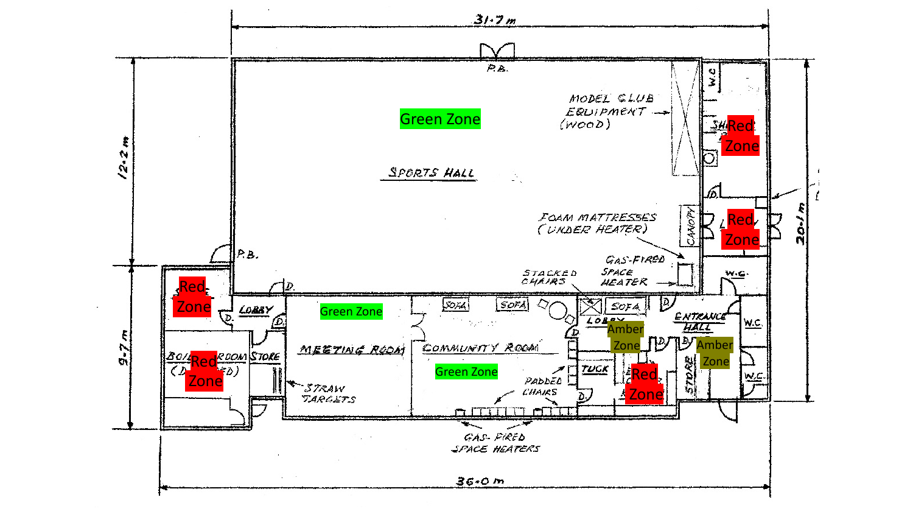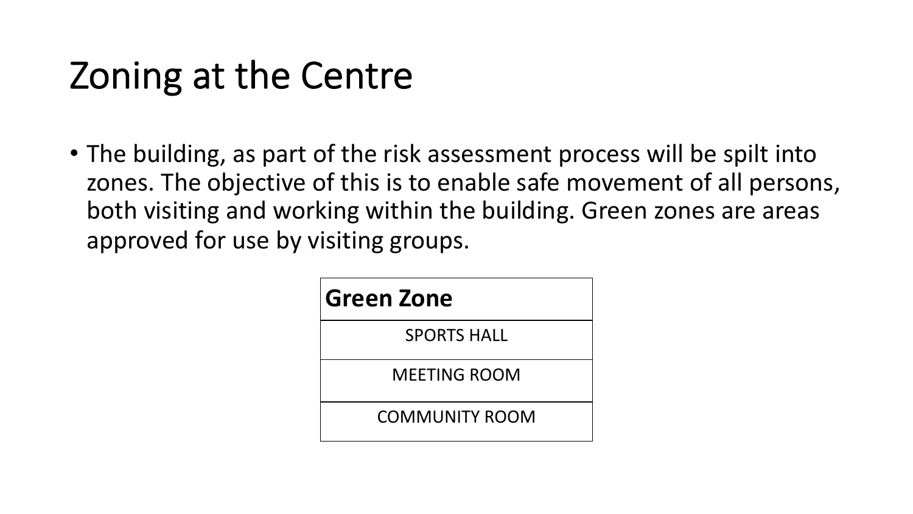# Zoning at the Centre

• The building, as part of the risk assessment process will be spilt into zones. The objective of this is to enable safe movement of all persons, both visiting and working within the building. Green zones are areas approved for use by visiting groups.

| <b>Green Zone</b>     |
|-----------------------|
| <b>SPORTS HALL</b>    |
| MEFTING ROOM          |
| <b>COMMUNITY ROOM</b> |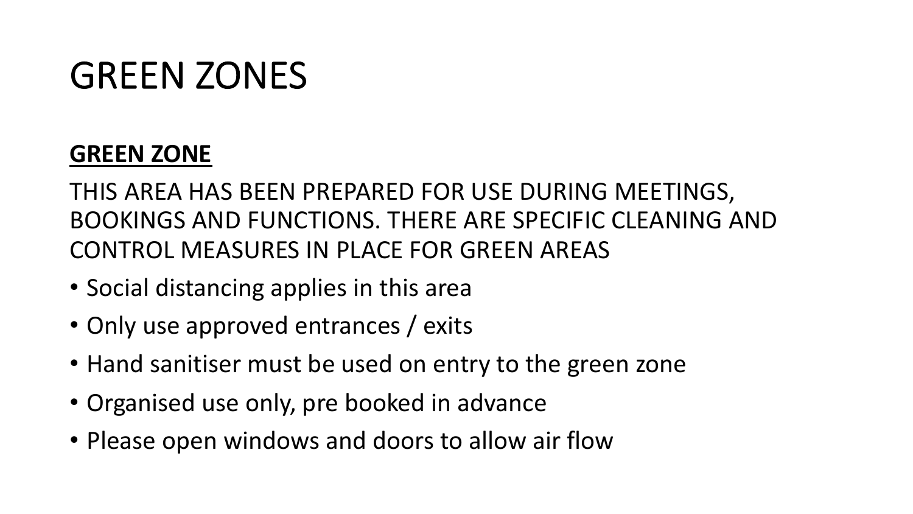### GREEN ZONES

### **GREEN ZONE**

THIS AREA HAS BEEN PREPARED FOR USE DURING MEETINGS, BOOKINGS AND FUNCTIONS. THERE ARE SPECIFIC CLEANING AND CONTROL MEASURES IN PLACE FOR GREEN AREAS

- Social distancing applies in this area
- Only use approved entrances / exits
- Hand sanitiser must be used on entry to the green zone
- Organised use only, pre booked in advance
- Please open windows and doors to allow air flow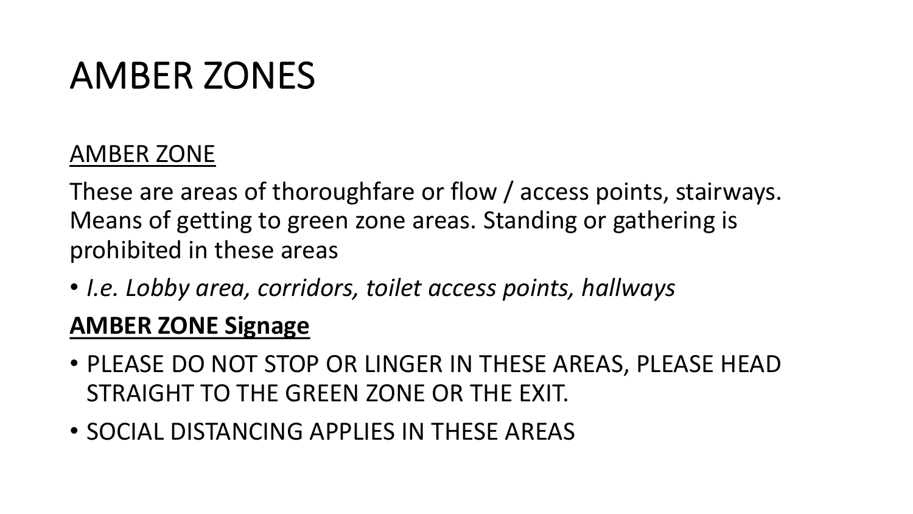## AMBER ZONES

### AMBER ZONE

These are areas of thoroughfare or flow / access points, stairways. Means of getting to green zone areas. Standing or gathering is prohibited in these areas

• *I.e. Lobby area, corridors, toilet access points, hallways*

### **AMBER ZONE Signage**

- PLEASE DO NOT STOP OR LINGER IN THESE AREAS, PLEASE HEAD STRAIGHT TO THE GREEN ZONE OR THE EXIT.
- SOCIAL DISTANCING APPLIES IN THESE AREAS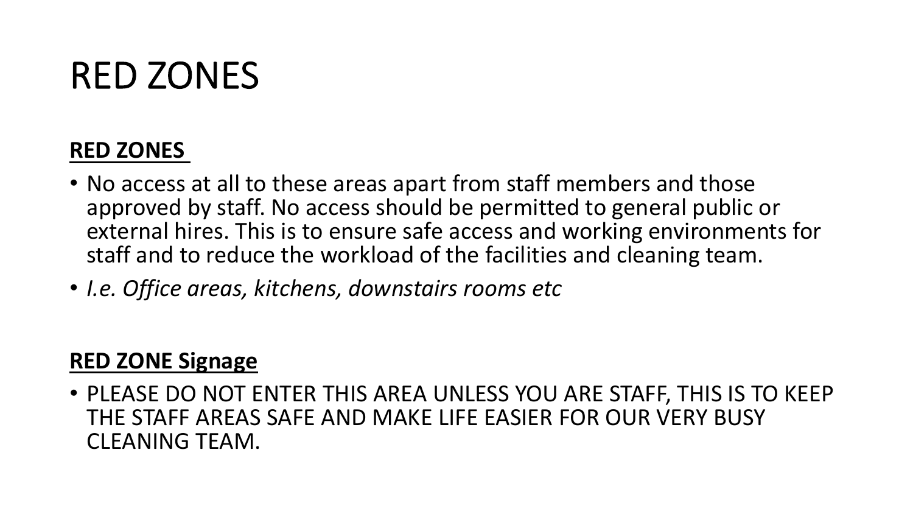### RED ZONES

#### **RED ZONES**

- No access at all to these areas apart from staff members and those approved by staff. No access should be permitted to general public or external hires. This is to ensure safe access and working environments for staff and to reduce the workload of the facilities and cleaning team.
- *I.e. Office areas, kitchens, downstairs rooms etc*

#### **RED ZONE Signage**

• PLEASE DO NOT ENTER THIS AREA UNLESS YOU ARE STAFF, THIS IS TO KEEP THE STAFF AREAS SAFE AND MAKE LIFE EASIER FOR OUR VERY BUSY CLEANING TEAM.